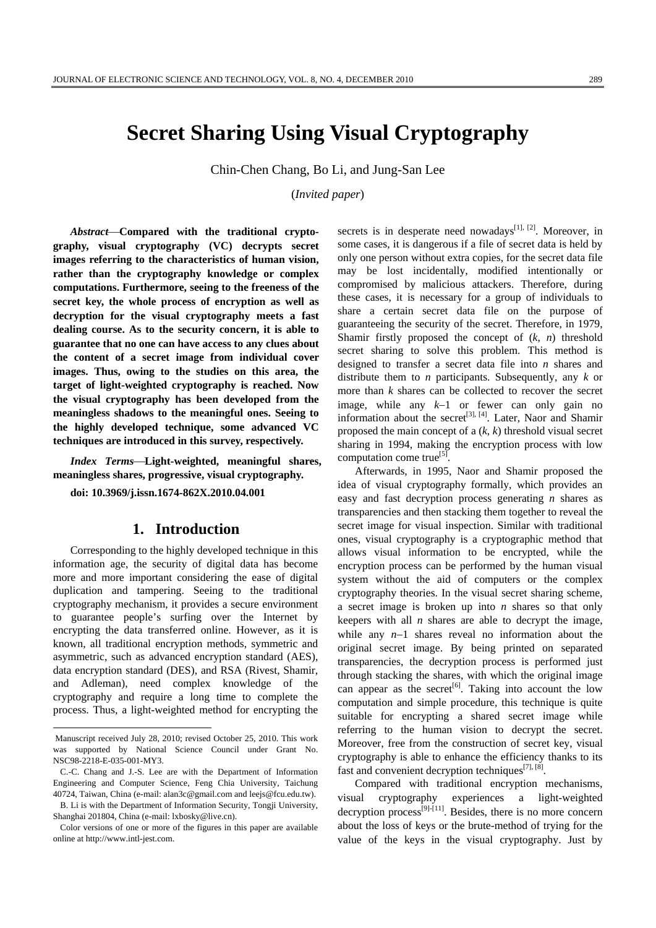# **Secret Sharing Using Visual Cryptography**

Chin-Chen Chang, Bo Li, and Jung-San Lee

(*Invited paper*)

Abstract-Compared with the traditional crypto**graphy, visual cryptography (VC) decrypts secret images referring to the characteristics of human vision, rather than the cryptography knowledge or complex computations. Furthermore, seeing to the freeness of the secret key, the whole process of encryption as well as decryption for the visual cryptography meets a fast dealing course. As to the security concern, it is able to guarantee that no one can have access to any clues about the content of a secret image from individual cover images. Thus, owing to the studies on this area, the target of light-weighted cryptography is reached. Now the visual cryptography has been developed from the meaningless shadows to the meaningful ones. Seeing to the highly developed technique, some advanced VC techniques are introduced in this survey, respectively.** 

*Index Terms—Light-weighted, meaningful shares,* **meaningless shares, progressive, visual cryptography.** 

**doi: 10.3969/j.issn.1674-862X.2010.04.001** 

### **1. Introduction**

Corresponding to the highly developed technique in this information age, the security of digital data has become more and more important considering the ease of digital duplication and tampering. Seeing to the traditional cryptography mechanism, it provides a secure environment to guarantee people's surfing over the Internet by encrypting the data transferred online. However, as it is known, all traditional encryption methods, symmetric and asymmetric, such as advanced encryption standard (AES), data encryption standard (DES), and RSA (Rivest, Shamir, and Adleman), need complex knowledge of the cryptography and require a long time to complete the process. Thus, a light-weighted method for encrypting the

 $\overline{a}$ 

B. Li is with the Department of Information Security, Tongji University, Shanghai 201804, China (e-mail: lxbosky@live.cn).

secrets is in desperate need nowadays<sup>[1], [2]</sup>. Moreover, in some cases, it is dangerous if a file of secret data is held by only one person without extra copies, for the secret data file may be lost incidentally, modified intentionally or compromised by malicious attackers. Therefore, during these cases, it is necessary for a group of individuals to share a certain secret data file on the purpose of guaranteeing the security of the secret. Therefore, in 1979, Shamir firstly proposed the concept of (*k*, *n*) threshold secret sharing to solve this problem. This method is designed to transfer a secret data file into *n* shares and distribute them to *n* participants. Subsequently, any *k* or more than *k* shares can be collected to recover the secret image, while any *k*−1 or fewer can only gain no information about the secret<sup>[3], [4]</sup>. Later, Naor and Shamir proposed the main concept of a (*k*, *k*) threshold visual secret sharing in 1994, making the encryption process with low computation come true<sup>[5]</sup>.

Afterwards, in 1995, Naor and Shamir proposed the idea of visual cryptography formally, which provides an easy and fast decryption process generating *n* shares as transparencies and then stacking them together to reveal the secret image for visual inspection. Similar with traditional ones, visual cryptography is a cryptographic method that allows visual information to be encrypted, while the encryption process can be performed by the human visual system without the aid of computers or the complex cryptography theories. In the visual secret sharing scheme, a secret image is broken up into *n* shares so that only keepers with all *n* shares are able to decrypt the image, while any *n*−1 shares reveal no information about the original secret image. By being printed on separated transparencies, the decryption process is performed just through stacking the shares, with which the original image can appear as the secret<sup>[6]</sup>. Taking into account the low computation and simple procedure, this technique is quite suitable for encrypting a shared secret image while referring to the human vision to decrypt the secret. Moreover, free from the construction of secret key, visual cryptography is able to enhance the efficiency thanks to its fast and convenient decryption techniques $[7]$ ,  $[8]$ .

Compared with traditional encryption mechanisms, visual cryptography experiences a light-weighted decryption process<sup>[9]-[11]</sup>. Besides, there is no more concern about the loss of keys or the brute-method of trying for the value of the keys in the visual cryptography. Just by

Manuscript received July 28, 2010; revised October 25, 2010. This work was supported by National Science Council under Grant No. NSC98-2218-E-035-001-MY3.

C.-C. Chang and J.-S. Lee are with the Department of Information Engineering and Computer Science, Feng Chia University, Taichung 40724, Taiwan, China (e-mail: alan3c@gmail.com and leejs@fcu.edu.tw).

Color versions of one or more of the figures in this paper are available online at http://www.intl-jest.com.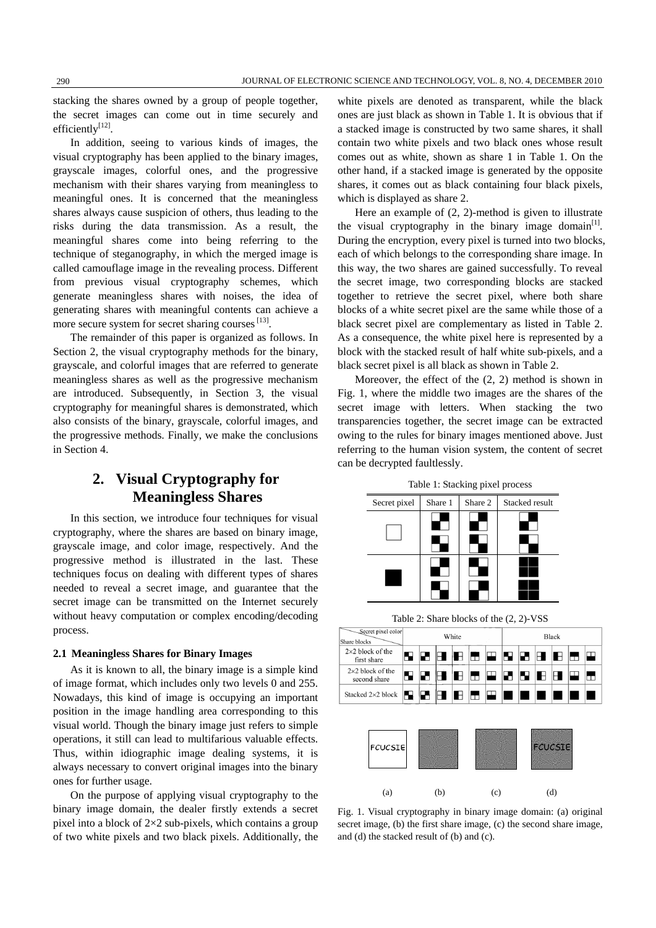stacking the shares owned by a group of people together, the secret images can come out in time securely and efficiently[12].

In addition, seeing to various kinds of images, the visual cryptography has been applied to the binary images, grayscale images, colorful ones, and the progressive mechanism with their shares varying from meaningless to meaningful ones. It is concerned that the meaningless shares always cause suspicion of others, thus leading to the risks during the data transmission. As a result, the meaningful shares come into being referring to the technique of steganography, in which the merged image is called camouflage image in the revealing process. Different from previous visual cryptography schemes, which generate meaningless shares with noises, the idea of generating shares with meaningful contents can achieve a more secure system for secret sharing courses [13].

The remainder of this paper is organized as follows. In Section 2, the visual cryptography methods for the binary, grayscale, and colorful images that are referred to generate meaningless shares as well as the progressive mechanism are introduced. Subsequently, in Section 3, the visual cryptography for meaningful shares is demonstrated, which also consists of the binary, grayscale, colorful images, and the progressive methods. Finally, we make the conclusions in Section 4.

# **2. Visual Cryptography for Meaningless Shares**

In this section, we introduce four techniques for visual cryptography, where the shares are based on binary image, grayscale image, and color image, respectively. And the progressive method is illustrated in the last. These techniques focus on dealing with different types of shares needed to reveal a secret image, and guarantee that the secret image can be transmitted on the Internet securely without heavy computation or complex encoding/decoding process.

#### **2.1 Meaningless Shares for Binary Images**

As it is known to all, the binary image is a simple kind of image format, which includes only two levels 0 and 255. Nowadays, this kind of image is occupying an important position in the image handling area corresponding to this visual world. Though the binary image just refers to simple operations, it still can lead to multifarious valuable effects. Thus, within idiographic image dealing systems, it is always necessary to convert original images into the binary ones for further usage.

On the purpose of applying visual cryptography to the binary image domain, the dealer firstly extends a secret pixel into a block of  $2\times 2$  sub-pixels, which contains a group of two white pixels and two black pixels. Additionally, the

white pixels are denoted as transparent, while the black ones are just black as shown in Table 1. It is obvious that if a stacked image is constructed by two same shares, it shall contain two white pixels and two black ones whose result comes out as white, shown as share 1 in Table 1. On the other hand, if a stacked image is generated by the opposite shares, it comes out as black containing four black pixels, which is displayed as share 2.

Here an example of (2, 2)-method is given to illustrate the visual cryptography in the binary image domain<sup>[1]</sup>. During the encryption, every pixel is turned into two blocks, each of which belongs to the corresponding share image. In this way, the two shares are gained successfully. To reveal the secret image, two corresponding blocks are stacked together to retrieve the secret pixel, where both share blocks of a white secret pixel are the same while those of a black secret pixel are complementary as listed in Table 2. As a consequence, the white pixel here is represented by a block with the stacked result of half white sub-pixels, and a black secret pixel is all black as shown in Table 2.

Moreover, the effect of the (2, 2) method is shown in Fig. 1, where the middle two images are the shares of the secret image with letters. When stacking the two transparencies together, the secret image can be extracted owing to the rules for binary images mentioned above. Just referring to the human vision system, the content of secret can be decrypted faultlessly.

|  | Table 1: Stacking pixel process |  |  |
|--|---------------------------------|--|--|
|--|---------------------------------|--|--|

| Secret pixel | Share 1 | Share 2 | Stacked result |  |  |
|--------------|---------|---------|----------------|--|--|
|              |         |         |                |  |  |
|              |         |         |                |  |  |
|              |         |         |                |  |  |
|              |         |         |                |  |  |

Table 2: Share blocks of the (2, 2)-VSS

| Secret pixel color<br>Share blocks                                                                                                                                                                                               |  | White |  |  |  | <b>Black</b>                                     |  |  |  |  |  |    |
|----------------------------------------------------------------------------------------------------------------------------------------------------------------------------------------------------------------------------------|--|-------|--|--|--|--------------------------------------------------|--|--|--|--|--|----|
| $2\times2$ block of the<br>first share                                                                                                                                                                                           |  |       |  |  |  | 52  25  32  33  33  24  32  23  33  33  34       |  |  |  |  |  |    |
| $2\times2$ block of the<br>second share                                                                                                                                                                                          |  |       |  |  |  | (52   25   25   35   32   23   32   33   34   23 |  |  |  |  |  | I. |
| Stacked 2×2 block $\boxed{\blacksquare}$ $\boxed{\blacksquare}$ $\boxed{\blacksquare}$ $\boxed{\blacksquare}$ $\boxed{\blacksquare}$ $\boxed{\blacksquare}$ $\boxed{\blacksquare}$ $\boxed{\blacksquare}$ $\boxed{\blacksquare}$ |  |       |  |  |  |                                                  |  |  |  |  |  |    |



Fig. 1. Visual cryptography in binary image domain: (a) original secret image, (b) the first share image, (c) the second share image, and (d) the stacked result of (b) and (c).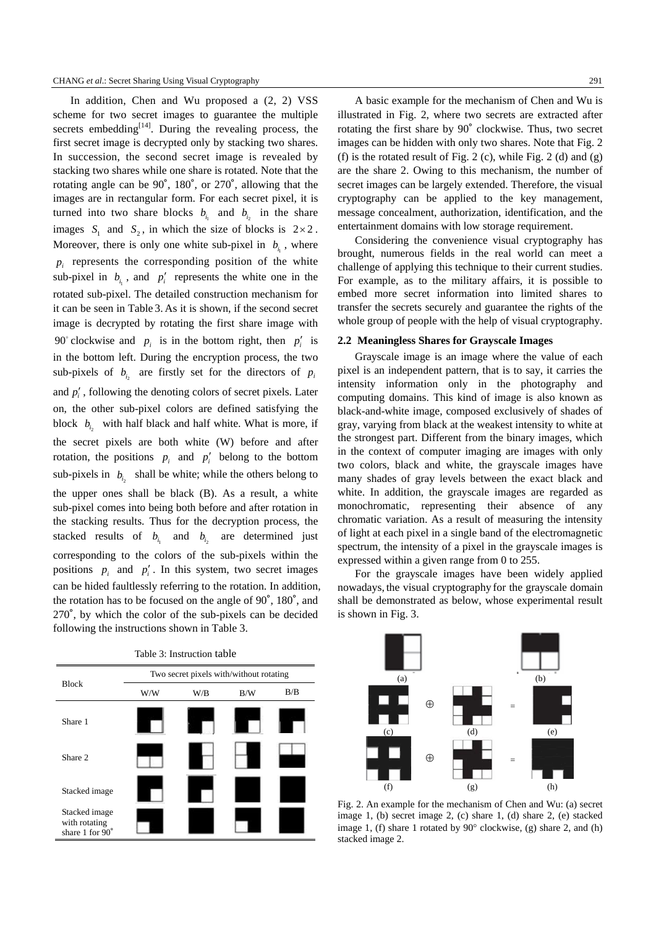In addition, Chen and Wu proposed a (2, 2) VSS scheme for two secret images to guarantee the multiple secrets embedding $[14]$ . During the revealing process, the first secret image is decrypted only by stacking two shares. In succession, the second secret image is revealed by stacking two shares while one share is rotated. Note that the rotating angle can be 90˚, 180˚, or 270˚, allowing that the images are in rectangular form. For each secret pixel, it is turned into two share blocks  $b_{i_1}$  and  $b_{i_2}$  in the share images  $S_1$  and  $S_2$ , in which the size of blocks is  $2 \times 2$ . Moreover, there is only one white sub-pixel in  $b_i$ , where  $p_i$  represents the corresponding position of the white sub-pixel in  $b_{i}$ , and  $p'$  represents the white one in the rotated sub-pixel. The detailed construction mechanism for it can be seen in Table 3. As it is shown, if the second secret image is decrypted by rotating the first share image with 90° clockwise and  $p_i$  is in the bottom right, then  $p'_i$  is in the bottom left. During the encryption process, the two sub-pixels of  $b_{i_2}$  are firstly set for the directors of  $p_i$ and  $p'$ , following the denoting colors of secret pixels. Later on, the other sub-pixel colors are defined satisfying the block  $b_{i_2}$  with half black and half white. What is more, if the secret pixels are both white (W) before and after rotation, the positions  $p_i$  and  $p'_i$  belong to the bottom sub-pixels in  $b_{i_2}$  shall be white; while the others belong to the upper ones shall be black (B). As a result, a white sub-pixel comes into being both before and after rotation in the stacking results. Thus for the decryption process, the stacked results of  $b_{i_1}$  and  $b_{i_2}$  are determined just corresponding to the colors of the sub-pixels within the positions  $p_i$  and  $p'_i$ . In this system, two secret images can be hided faultlessly referring to the rotation. In addition, the rotation has to be focused on the angle of 90˚, 180˚, and 270˚, by which the color of the sub-pixels can be decided following the instructions shown in Table 3.

| Table 3: Instruction table                        |                                         |     |     |     |  |  |  |  |
|---------------------------------------------------|-----------------------------------------|-----|-----|-----|--|--|--|--|
|                                                   | Two secret pixels with/without rotating |     |     |     |  |  |  |  |
| <b>Block</b>                                      | W/W                                     | W/B | B/W | B/B |  |  |  |  |
| Share 1                                           |                                         |     |     |     |  |  |  |  |
| Share 2                                           |                                         |     |     |     |  |  |  |  |
| Stacked image                                     |                                         |     |     |     |  |  |  |  |
| Stacked image<br>with rotating<br>share 1 for 90° |                                         |     |     |     |  |  |  |  |

A basic example for the mechanism of Chen and Wu is illustrated in Fig. 2, where two secrets are extracted after rotating the first share by 90˚ clockwise. Thus, two secret images can be hidden with only two shares. Note that Fig. 2 (f) is the rotated result of Fig. 2 (c), while Fig. 2 (d) and (g) are the share 2. Owing to this mechanism, the number of secret images can be largely extended. Therefore, the visual cryptography can be applied to the key management, message concealment, authorization, identification, and the entertainment domains with low storage requirement.

Considering the convenience visual cryptography has brought, numerous fields in the real world can meet a challenge of applying this technique to their current studies. For example, as to the military affairs, it is possible to embed more secret information into limited shares to transfer the secrets securely and guarantee the rights of the whole group of people with the help of visual cryptography.

#### **2.2 Meaningless Shares for Grayscale Images**

Grayscale image is an image where the value of each pixel is an independent pattern, that is to say, it carries the intensity information only in the photography and computing domains. This kind of image is also known as black-and-white image, composed exclusively of shades of gray, varying from black at the weakest intensity to white at the strongest part. Different from the binary images, which in the context of computer imaging are images with only two colors, black and white, the grayscale images have many shades of gray levels between the exact black and white. In addition, the grayscale images are regarded as monochromatic, representing their absence of any chromatic variation. As a result of measuring the intensity of light at each pixel in a single band of the electromagnetic spectrum, the intensity of a pixel in the grayscale images is expressed within a given range from 0 to 255.

For the grayscale images have been widely applied nowadays, the visual cryptography for the grayscale domain shall be demonstrated as below, whose experimental result is shown in Fig. 3.



Fig. 2. An example for the mechanism of Chen and Wu: (a) secret image 1, (b) secret image 2, (c) share 1, (d) share 2, (e) stacked image 1, (f) share 1 rotated by 90° clockwise, (g) share 2, and (h) stacked image 2.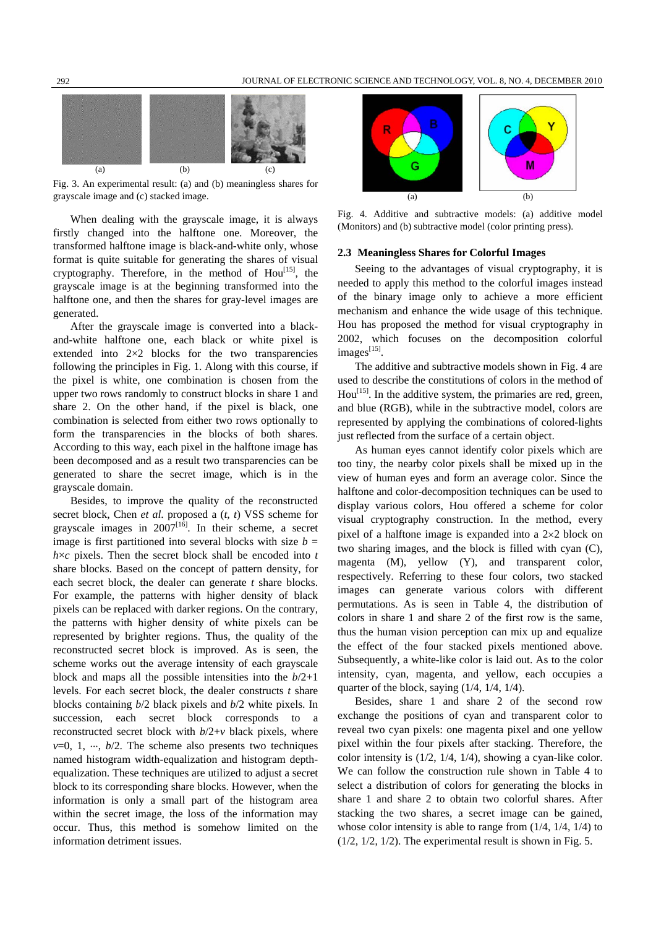

Fig. 3. An experimental result: (a) and (b) meaningless shares for grayscale image and (c) stacked image.

When dealing with the grayscale image, it is always firstly changed into the halftone one. Moreover, the transformed halftone image is black-and-white only, whose format is quite suitable for generating the shares of visual cryptography. Therefore, in the method of  $Hou<sup>[15]</sup>$ , the grayscale image is at the beginning transformed into the halftone one, and then the shares for gray-level images are generated.

After the grayscale image is converted into a blackand-white halftone one, each black or white pixel is extended into 2×2 blocks for the two transparencies following the principles in Fig. 1. Along with this course, if the pixel is white, one combination is chosen from the upper two rows randomly to construct blocks in share 1 and share 2. On the other hand, if the pixel is black, one combination is selected from either two rows optionally to form the transparencies in the blocks of both shares. According to this way, each pixel in the halftone image has been decomposed and as a result two transparencies can be generated to share the secret image, which is in the grayscale domain.

Besides, to improve the quality of the reconstructed secret block, Chen *et al*. proposed a (*t*, *t*) VSS scheme for grayscale images in  $2007^{[16]}$ . In their scheme, a secret image is first partitioned into several blocks with size  $b =$  $h \times c$  pixels. Then the secret block shall be encoded into  $t$ share blocks. Based on the concept of pattern density, for each secret block, the dealer can generate *t* share blocks. For example, the patterns with higher density of black pixels can be replaced with darker regions. On the contrary, the patterns with higher density of white pixels can be represented by brighter regions. Thus, the quality of the reconstructed secret block is improved. As is seen, the scheme works out the average intensity of each grayscale block and maps all the possible intensities into the *b*/2+1 levels. For each secret block, the dealer constructs *t* share blocks containing *b*/2 black pixels and *b*/2 white pixels. In succession, each secret block corresponds to a reconstructed secret block with *b*/2+*v* black pixels, where  $v=0, 1, \dots, b/2$ . The scheme also presents two techniques named histogram width-equalization and histogram depthequalization. These techniques are utilized to adjust a secret block to its corresponding share blocks. However, when the information is only a small part of the histogram area within the secret image, the loss of the information may occur. Thus, this method is somehow limited on the information detriment issues.



Fig. 4. Additive and subtractive models: (a) additive model (Monitors) and (b) subtractive model (color printing press).

#### **2.3 Meaningless Shares for Colorful Images**

Seeing to the advantages of visual cryptography, it is needed to apply this method to the colorful images instead of the binary image only to achieve a more efficient mechanism and enhance the wide usage of this technique. Hou has proposed the method for visual cryptography in 2002, which focuses on the decomposition colorful  $images^{[15]}$ .

The additive and subtractive models shown in Fig. 4 are used to describe the constitutions of colors in the method of  $Hou<sup>[15]</sup>$ . In the additive system, the primaries are red, green, and blue (RGB), while in the subtractive model, colors are represented by applying the combinations of colored-lights just reflected from the surface of a certain object.

As human eyes cannot identify color pixels which are too tiny, the nearby color pixels shall be mixed up in the view of human eyes and form an average color. Since the halftone and color-decomposition techniques can be used to display various colors, Hou offered a scheme for color visual cryptography construction. In the method, every pixel of a halftone image is expanded into a 2×2 block on two sharing images, and the block is filled with cyan (C), magenta (M), yellow (Y), and transparent color, respectively. Referring to these four colors, two stacked images can generate various colors with different permutations. As is seen in Table 4, the distribution of colors in share 1 and share 2 of the first row is the same, thus the human vision perception can mix up and equalize the effect of the four stacked pixels mentioned above. Subsequently, a white-like color is laid out. As to the color intensity, cyan, magenta, and yellow, each occupies a quarter of the block, saying (1/4, 1/4, 1/4).

Besides, share 1 and share 2 of the second row exchange the positions of cyan and transparent color to reveal two cyan pixels: one magenta pixel and one yellow pixel within the four pixels after stacking. Therefore, the color intensity is (1/2, 1/4, 1/4), showing a cyan-like color. We can follow the construction rule shown in Table 4 to select a distribution of colors for generating the blocks in share 1 and share 2 to obtain two colorful shares. After stacking the two shares, a secret image can be gained, whose color intensity is able to range from  $(1/4, 1/4, 1/4)$  to  $(1/2, 1/2, 1/2)$ . The experimental result is shown in Fig. 5.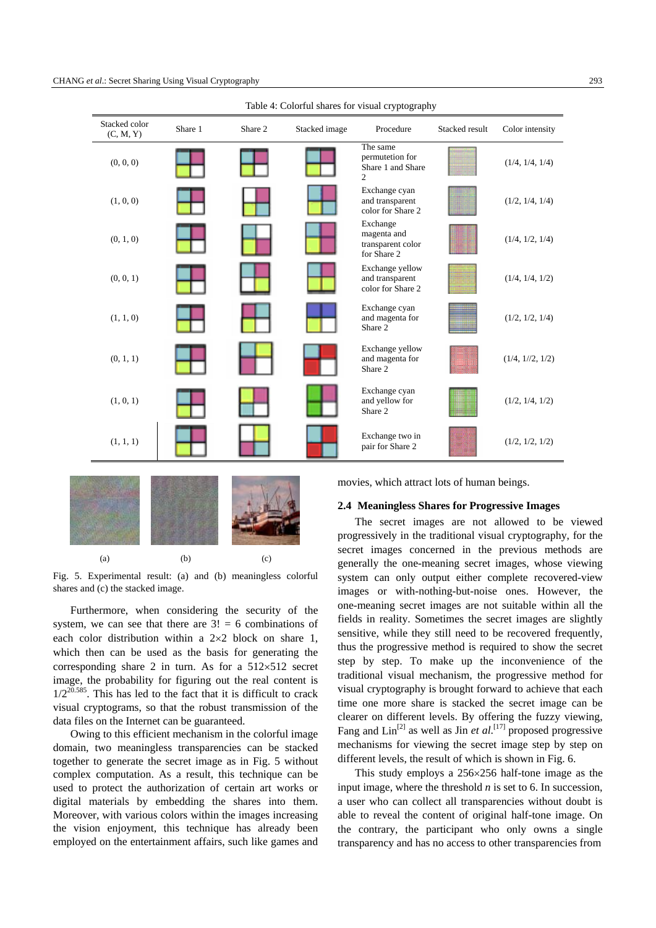

Table 4: Colorful shares for visual cryptography



Fig. 5. Experimental result: (a) and (b) meaningless colorful shares and (c) the stacked image.

Furthermore, when considering the security of the system, we can see that there are  $3! = 6$  combinations of each color distribution within a 2×2 block on share 1, which then can be used as the basis for generating the corresponding share 2 in turn. As for a  $512\times512$  secret image, the probability for figuring out the real content is  $1/2^{20.585}$ . This has led to the fact that it is difficult to crack visual cryptograms, so that the robust transmission of the data files on the Internet can be guaranteed.

Owing to this efficient mechanism in the colorful image domain, two meaningless transparencies can be stacked together to generate the secret image as in Fig. 5 without complex computation. As a result, this technique can be used to protect the authorization of certain art works or digital materials by embedding the shares into them. Moreover, with various colors within the images increasing the vision enjoyment, this technique has already been employed on the entertainment affairs, such like games and movies, which attract lots of human beings.

#### **2.4 Meaningless Shares for Progressive Images**

The secret images are not allowed to be viewed progressively in the traditional visual cryptography, for the secret images concerned in the previous methods are generally the one-meaning secret images, whose viewing system can only output either complete recovered-view images or with-nothing-but-noise ones. However, the one-meaning secret images are not suitable within all the fields in reality. Sometimes the secret images are slightly sensitive, while they still need to be recovered frequently, thus the progressive method is required to show the secret step by step. To make up the inconvenience of the traditional visual mechanism, the progressive method for visual cryptography is brought forward to achieve that each time one more share is stacked the secret image can be clearer on different levels. By offering the fuzzy viewing, Fang and  $\text{Lin}^{[2]}$  as well as Jin *et al.*<sup>[17]</sup> proposed progressive mechanisms for viewing the secret image step by step on different levels, the result of which is shown in Fig. 6.

This study employs a 256×256 half-tone image as the input image, where the threshold *n* is set to 6. In succession, a user who can collect all transparencies without doubt is able to reveal the content of original half-tone image. On the contrary, the participant who only owns a single transparency and has no access to other transparencies from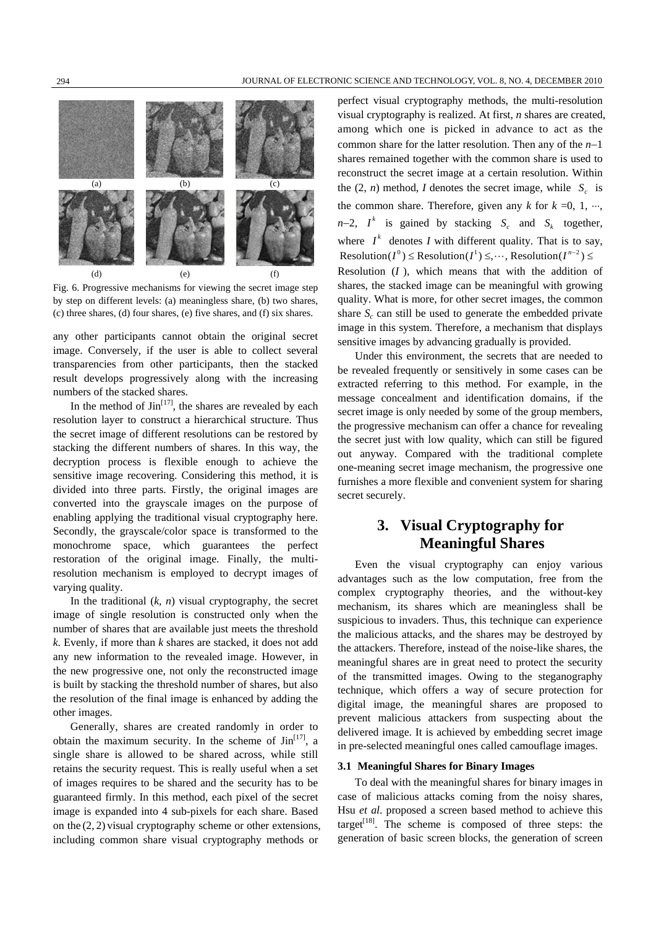

Fig. 6. Progressive mechanisms for viewing the secret image step by step on different levels: (a) meaningless share, (b) two shares, (c) three shares, (d) four shares, (e) five shares, and (f) six shares.

any other participants cannot obtain the original secret image. Conversely, if the user is able to collect several transparencies from other participants, then the stacked result develops progressively along with the increasing numbers of the stacked shares.

In the method of  $\text{Jin}^{[17]}$ , the shares are revealed by each resolution layer to construct a hierarchical structure. Thus the secret image of different resolutions can be restored by stacking the different numbers of shares. In this way, the decryption process is flexible enough to achieve the sensitive image recovering. Considering this method, it is divided into three parts. Firstly, the original images are converted into the grayscale images on the purpose of enabling applying the traditional visual cryptography here. Secondly, the grayscale/color space is transformed to the monochrome space, which guarantees the perfect restoration of the original image. Finally, the multiresolution mechanism is employed to decrypt images of varying quality.

In the traditional  $(k, n)$  visual cryptography, the secret image of single resolution is constructed only when the number of shares that are available just meets the threshold *k*. Evenly, if more than *k* shares are stacked, it does not add any new information to the revealed image. However, in the new progressive one, not only the reconstructed image is built by stacking the threshold number of shares, but also the resolution of the final image is enhanced by adding the other images.

Generally, shares are created randomly in order to obtain the maximum security. In the scheme of  $\text{Jin}^{[17]}$ , a single share is allowed to be shared across, while still retains the security request. This is really useful when a set of images requires to be shared and the security has to be guaranteed firmly. In this method, each pixel of the secret image is expanded into 4 sub-pixels for each share. Based on the (2, 2) visual cryptography scheme or other extensions, including common share visual cryptography methods or

perfect visual cryptography methods, the multi-resolution visual cryptography is realized. At first, *n* shares are created, among which one is picked in advance to act as the common share for the latter resolution. Then any of the *n*−1 shares remained together with the common share is used to reconstruct the secret image at a certain resolution. Within the  $(2, n)$  method, *I* denotes the secret image, while  $S_c$  is the common share. Therefore, given any  $k$  for  $k = 0, 1, \dots$ ,  $n-2$ ,  $I^k$  is gained by stacking  $S_c$  and  $S_k$  together, where  $I^k$  denotes *I* with different quality. That is to say,  $Resolution(I^0) \le Resolution(I^1) \le \cdots$ , Resolution( $I^{n-2}$ )  $\le$ Resolution (*I* ), which means that with the addition of shares, the stacked image can be meaningful with growing quality. What is more, for other secret images, the common share  $S_c$  can still be used to generate the embedded private image in this system. Therefore, a mechanism that displays sensitive images by advancing gradually is provided.

Under this environment, the secrets that are needed to be revealed frequently or sensitively in some cases can be extracted referring to this method. For example, in the message concealment and identification domains, if the secret image is only needed by some of the group members, the progressive mechanism can offer a chance for revealing the secret just with low quality, which can still be figured out anyway. Compared with the traditional complete one-meaning secret image mechanism, the progressive one furnishes a more flexible and convenient system for sharing secret securely.

# **3. Visual Cryptography for Meaningful Shares**

Even the visual cryptography can enjoy various advantages such as the low computation, free from the complex cryptography theories, and the without-key mechanism, its shares which are meaningless shall be suspicious to invaders. Thus, this technique can experience the malicious attacks, and the shares may be destroyed by the attackers. Therefore, instead of the noise-like shares, the meaningful shares are in great need to protect the security of the transmitted images. Owing to the steganography technique, which offers a way of secure protection for digital image, the meaningful shares are proposed to prevent malicious attackers from suspecting about the delivered image. It is achieved by embedding secret image in pre-selected meaningful ones called camouflage images.

#### **3.1 Meaningful Shares for Binary Images**

To deal with the meaningful shares for binary images in case of malicious attacks coming from the noisy shares, Hsu *et al*. proposed a screen based method to achieve this target<sup>[18]</sup>. The scheme is composed of three steps: the generation of basic screen blocks, the generation of screen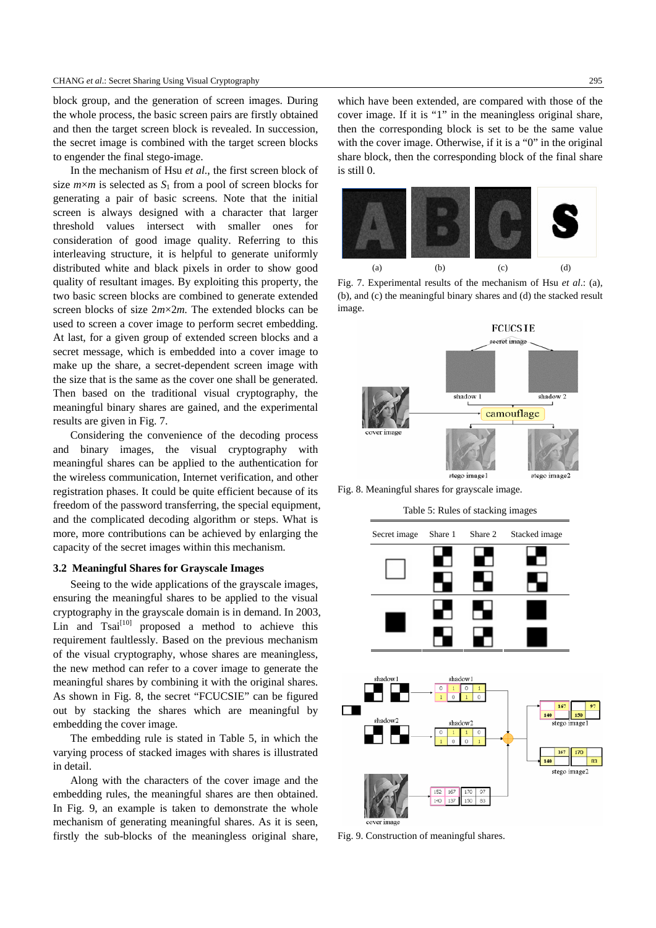block group, and the generation of screen images. During the whole process, the basic screen pairs are firstly obtained and then the target screen block is revealed. In succession, the secret image is combined with the target screen blocks to engender the final stego-image.

In the mechanism of Hsu *et al*., the first screen block of size  $m \times m$  is selected as  $S_1$  from a pool of screen blocks for generating a pair of basic screens. Note that the initial screen is always designed with a character that larger threshold values intersect with smaller ones for consideration of good image quality. Referring to this interleaving structure, it is helpful to generate uniformly distributed white and black pixels in order to show good quality of resultant images. By exploiting this property, the two basic screen blocks are combined to generate extended screen blocks of size 2*m*×2*m.* The extended blocks can be used to screen a cover image to perform secret embedding. At last, for a given group of extended screen blocks and a secret message, which is embedded into a cover image to make up the share, a secret-dependent screen image with the size that is the same as the cover one shall be generated. Then based on the traditional visual cryptography, the meaningful binary shares are gained, and the experimental results are given in Fig. 7.

Considering the convenience of the decoding process and binary images, the visual cryptography with meaningful shares can be applied to the authentication for the wireless communication, Internet verification, and other registration phases. It could be quite efficient because of its freedom of the password transferring, the special equipment, and the complicated decoding algorithm or steps. What is more, more contributions can be achieved by enlarging the capacity of the secret images within this mechanism.

#### **3.2 Meaningful Shares for Grayscale Images**

Seeing to the wide applications of the grayscale images, ensuring the meaningful shares to be applied to the visual cryptography in the grayscale domain is in demand. In 2003, Lin and  $Tsai<sup>[10]</sup>$  proposed a method to achieve this requirement faultlessly. Based on the previous mechanism of the visual cryptography, whose shares are meaningless, the new method can refer to a cover image to generate the meaningful shares by combining it with the original shares. As shown in Fig. 8, the secret "FCUCSIE" can be figured out by stacking the shares which are meaningful by embedding the cover image.

The embedding rule is stated in Table 5, in which the varying process of stacked images with shares is illustrated in detail.

Along with the characters of the cover image and the embedding rules, the meaningful shares are then obtained. In Fig. 9, an example is taken to demonstrate the whole mechanism of generating meaningful shares. As it is seen, firstly the sub-blocks of the meaningless original share,

which have been extended, are compared with those of the cover image. If it is "1" in the meaningless original share, then the corresponding block is set to be the same value with the cover image. Otherwise, if it is a "0" in the original share block, then the corresponding block of the final share is still 0.



Fig. 7. Experimental results of the mechanism of Hsu *et al*.: (a), (b), and (c) the meaningful binary shares and (d) the stacked result image.



Fig. 8. Meaningful shares for grayscale image.

Table 5: Rules of stacking images



Fig. 9. Construction of meaningful shares.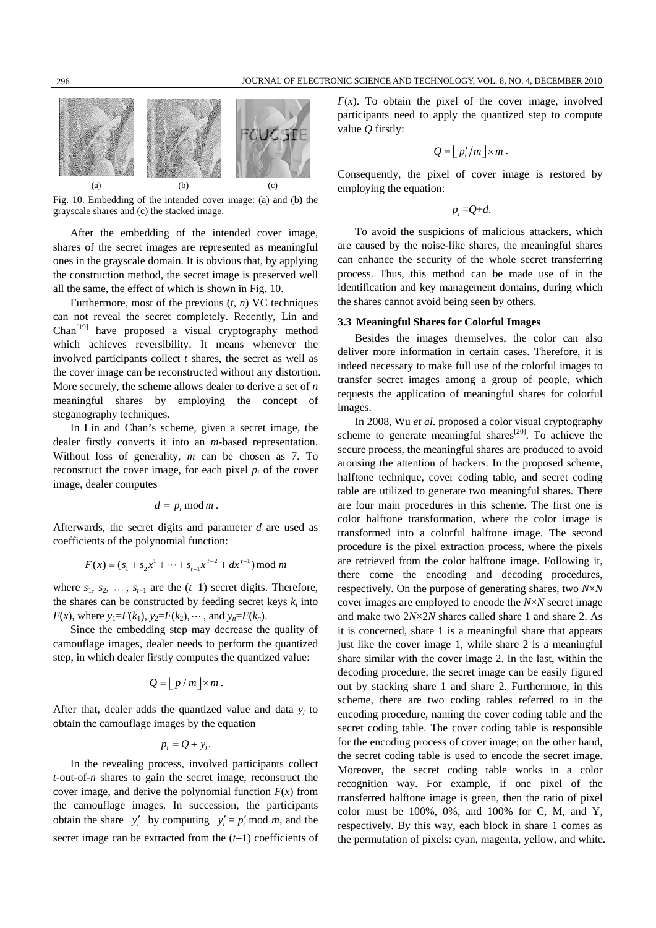

Fig. 10. Embedding of the intended cover image: (a) and (b) the grayscale shares and (c) the stacked image.

After the embedding of the intended cover image, shares of the secret images are represented as meaningful ones in the grayscale domain. It is obvious that, by applying the construction method, the secret image is preserved well all the same, the effect of which is shown in Fig. 10.

Furthermore, most of the previous (*t*, *n*) VC techniques can not reveal the secret completely. Recently, Lin and  $Chan<sup>[19]</sup>$  have proposed a visual cryptography method which achieves reversibility. It means whenever the involved participants collect *t* shares, the secret as well as the cover image can be reconstructed without any distortion. More securely, the scheme allows dealer to derive a set of *n* meaningful shares by employing the concept of steganography techniques.

In Lin and Chan's scheme, given a secret image, the dealer firstly converts it into an *m*-based representation. Without loss of generality, *m* can be chosen as 7. To reconstruct the cover image, for each pixel  $p_i$  of the cover image, dealer computes

$$
d=p_i \bmod m.
$$

Afterwards, the secret digits and parameter *d* are used as coefficients of the polynomial function:

$$
F(x) = (s_1 + s_2 x^1 + \dots + s_{t-1} x^{t-2} + dx^{t-1}) \bmod m
$$

where  $s_1, s_2, \ldots, s_{t-1}$  are the  $(t-1)$  secret digits. Therefore, the shares can be constructed by feeding secret keys  $k_i$  into *F*(*x*), where  $y_1 = F(k_1)$ ,  $y_2 = F(k_2)$ ,  $\cdots$ , and  $y_n = F(k_n)$ .

Since the embedding step may decrease the quality of camouflage images, dealer needs to perform the quantized step, in which dealer firstly computes the quantized value:

$$
Q = \lfloor p/m \rfloor \times m.
$$

After that, dealer adds the quantized value and data *yi* to obtain the camouflage images by the equation

$$
p_i = Q + y_i.
$$

In the revealing process, involved participants collect *t*-out-of-*n* shares to gain the secret image, reconstruct the cover image, and derive the polynomial function *F*(*x*) from the camouflage images. In succession, the participants obtain the share  $y'_i$  by computing  $y'_i = p'_i \text{ mod } m$ , and the secret image can be extracted from the (*t*−1) coefficients of  $F(x)$ . To obtain the pixel of the cover image, involved participants need to apply the quantized step to compute value *Q* firstly:

$$
Q=\left\lfloor p_i'/m\right\rfloor \times m.
$$

Consequently, the pixel of cover image is restored by employing the equation:

$$
p_i = Q + d.
$$

To avoid the suspicions of malicious attackers, which are caused by the noise-like shares, the meaningful shares can enhance the security of the whole secret transferring process. Thus, this method can be made use of in the identification and key management domains, during which the shares cannot avoid being seen by others.

#### **3.3 Meaningful Shares for Colorful Images**

Besides the images themselves, the color can also deliver more information in certain cases. Therefore, it is indeed necessary to make full use of the colorful images to transfer secret images among a group of people, which requests the application of meaningful shares for colorful images.

In 2008, Wu *et al*. proposed a color visual cryptography scheme to generate meaningful shares $[20]$ . To achieve the secure process, the meaningful shares are produced to avoid arousing the attention of hackers. In the proposed scheme, halftone technique, cover coding table, and secret coding table are utilized to generate two meaningful shares. There are four main procedures in this scheme. The first one is color halftone transformation, where the color image is transformed into a colorful halftone image. The second procedure is the pixel extraction process, where the pixels are retrieved from the color halftone image. Following it, there come the encoding and decoding procedures, respectively. On the purpose of generating shares, two *N*×*N*  cover images are employed to encode the *N*×*N* secret image and make two 2*N*×2*N* shares called share 1 and share 2. As it is concerned, share 1 is a meaningful share that appears just like the cover image 1, while share 2 is a meaningful share similar with the cover image 2. In the last, within the decoding procedure, the secret image can be easily figured out by stacking share 1 and share 2. Furthermore, in this scheme, there are two coding tables referred to in the encoding procedure, naming the cover coding table and the secret coding table. The cover coding table is responsible for the encoding process of cover image; on the other hand, the secret coding table is used to encode the secret image. Moreover, the secret coding table works in a color recognition way. For example, if one pixel of the transferred halftone image is green, then the ratio of pixel color must be  $100\%$ ,  $0\%$ , and  $100\%$  for C, M, and Y, respectively. By this way, each block in share 1 comes as the permutation of pixels: cyan, magenta, yellow, and white.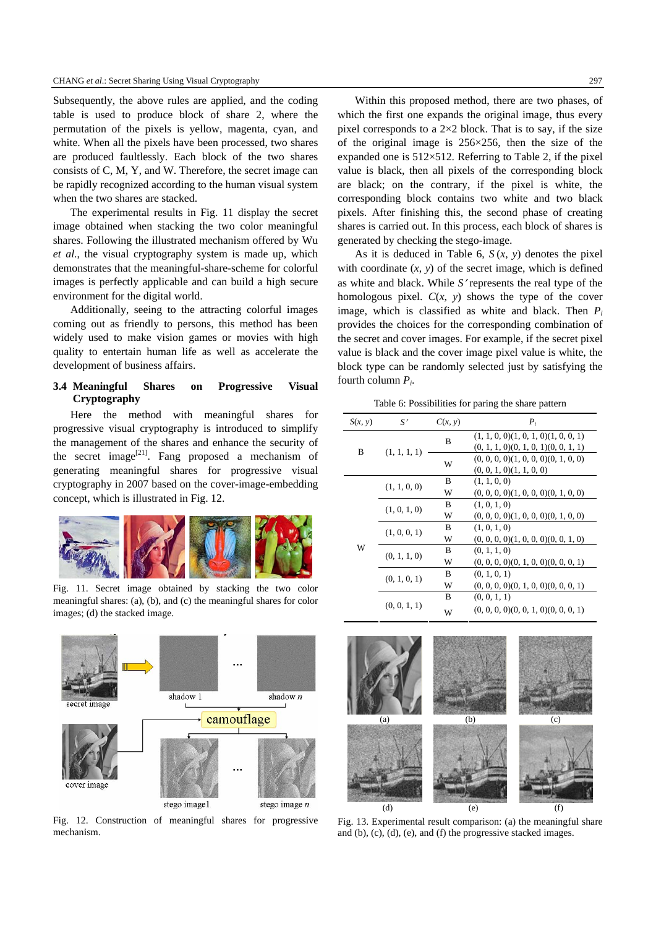Subsequently, the above rules are applied, and the coding table is used to produce block of share 2, where the permutation of the pixels is yellow, magenta, cyan, and white. When all the pixels have been processed, two shares are produced faultlessly. Each block of the two shares consists of C, M, Y, and W. Therefore, the secret image can be rapidly recognized according to the human visual system when the two shares are stacked.

The experimental results in Fig. 11 display the secret image obtained when stacking the two color meaningful shares. Following the illustrated mechanism offered by Wu *et al*., the visual cryptography system is made up, which demonstrates that the meaningful-share-scheme for colorful images is perfectly applicable and can build a high secure environment for the digital world.

Additionally, seeing to the attracting colorful images coming out as friendly to persons, this method has been widely used to make vision games or movies with high quality to entertain human life as well as accelerate the development of business affairs.

### **3.4 Meaningful Shares on Progressive Visual Cryptography**

Here the method with meaningful shares for progressive visual cryptography is introduced to simplify the management of the shares and enhance the security of the secret image<sup>[21]</sup>. Fang proposed a mechanism of generating meaningful shares for progressive visual cryptography in 2007 based on the cover-image-embedding concept, which is illustrated in Fig. 12.



Fig. 11. Secret image obtained by stacking the two color meaningful shares: (a), (b), and (c) the meaningful shares for color images; (d) the stacked image.



Fig. 12. Construction of meaningful shares for progressive mechanism.

Within this proposed method, there are two phases, of which the first one expands the original image, thus every pixel corresponds to a  $2\times2$  block. That is to say, if the size of the original image is 256×256, then the size of the expanded one is 512×512. Referring to Table 2, if the pixel value is black, then all pixels of the corresponding block are black; on the contrary, if the pixel is white, the corresponding block contains two white and two black pixels. After finishing this, the second phase of creating shares is carried out. In this process, each block of shares is generated by checking the stego-image.

As it is deduced in Table 6,  $S(x, y)$  denotes the pixel with coordinate  $(x, y)$  of the secret image, which is defined as white and black. While *S*′ represents the real type of the homologous pixel.  $C(x, y)$  shows the type of the cover image, which is classified as white and black. Then  $P_i$ provides the choices for the corresponding combination of the secret and cover images. For example, if the secret pixel value is black and the cover image pixel value is white, the block type can be randomly selected just by satisfying the fourth column *Pi*.

Table 6: Possibilities for paring the share pattern

| S(x, y) | S'           | C(x, y) | $P_i$                                                                                        |
|---------|--------------|---------|----------------------------------------------------------------------------------------------|
| B       | (1, 1, 1, 1) | B       | $(1, 1, 0, 0)$ $(1, 0, 1, 0)$ $(1, 0, 0, 1)$<br>$(0, 1, 1, 0)$ $(0, 1, 0, 1)$ $(0, 0, 1, 1)$ |
|         |              | W       | $(0, 0, 0, 0)$ $(1, 0, 0, 0)$ $(0, 1, 0, 0)$<br>$(0, 0, 1, 0)$ $(1, 1, 0, 0)$                |
|         | (1, 1, 0, 0) | B       | (1, 1, 0, 0)                                                                                 |
|         |              | W       | $(0, 0, 0, 0)$ $(1, 0, 0, 0)$ $(0, 1, 0, 0)$                                                 |
|         | (1, 0, 1, 0) | B       | (1, 0, 1, 0)                                                                                 |
|         |              | W       | $(0, 0, 0, 0)$ $(1, 0, 0, 0)$ $(0, 1, 0, 0)$                                                 |
|         | (1, 0, 0, 1) | B       | (1, 0, 1, 0)                                                                                 |
|         |              | W       | $(0, 0, 0, 0)$ $(1, 0, 0, 0)$ $(0, 0, 1, 0)$                                                 |
| W       | (0, 1, 1, 0) | B       | (0, 1, 1, 0)                                                                                 |
|         |              | W       | $(0, 0, 0, 0)$ $(0, 1, 0, 0)$ $(0, 0, 0, 1)$                                                 |
|         | (0, 1, 0, 1) | B       | (0, 1, 0, 1)                                                                                 |
|         |              | W       | $(0, 0, 0, 0)$ $(0, 1, 0, 0)$ $(0, 0, 0, 1)$                                                 |
|         | (0, 0, 1, 1) | B       | (0, 0, 1, 1)                                                                                 |
|         |              | W       | $(0, 0, 0, 0)$ $(0, 0, 1, 0)$ $(0, 0, 0, 1)$                                                 |



Fig. 13. Experimental result comparison: (a) the meaningful share and (b), (c), (d), (e), and (f) the progressive stacked images.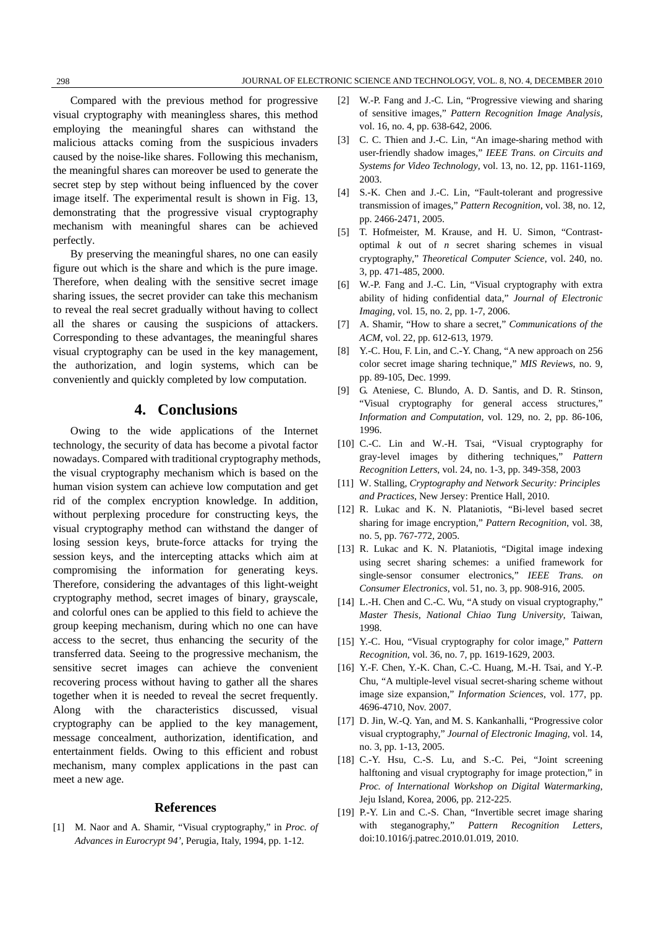Compared with the previous method for progressive visual cryptography with meaningless shares, this method employing the meaningful shares can withstand the malicious attacks coming from the suspicious invaders caused by the noise-like shares. Following this mechanism, the meaningful shares can moreover be used to generate the secret step by step without being influenced by the cover image itself. The experimental result is shown in Fig. 13, demonstrating that the progressive visual cryptography mechanism with meaningful shares can be achieved perfectly.

By preserving the meaningful shares, no one can easily figure out which is the share and which is the pure image. Therefore, when dealing with the sensitive secret image sharing issues, the secret provider can take this mechanism to reveal the real secret gradually without having to collect all the shares or causing the suspicions of attackers. Corresponding to these advantages, the meaningful shares visual cryptography can be used in the key management, the authorization, and login systems, which can be conveniently and quickly completed by low computation.

## **4. Conclusions**

Owing to the wide applications of the Internet technology, the security of data has become a pivotal factor nowadays. Compared with traditional cryptography methods, the visual cryptography mechanism which is based on the human vision system can achieve low computation and get rid of the complex encryption knowledge. In addition, without perplexing procedure for constructing keys, the visual cryptography method can withstand the danger of losing session keys, brute-force attacks for trying the session keys, and the intercepting attacks which aim at compromising the information for generating keys. Therefore, considering the advantages of this light-weight cryptography method, secret images of binary, grayscale, and colorful ones can be applied to this field to achieve the group keeping mechanism, during which no one can have access to the secret, thus enhancing the security of the transferred data. Seeing to the progressive mechanism, the sensitive secret images can achieve the convenient recovering process without having to gather all the shares together when it is needed to reveal the secret frequently. Along with the characteristics discussed, visual cryptography can be applied to the key management, message concealment, authorization, identification, and entertainment fields. Owing to this efficient and robust mechanism, many complex applications in the past can meet a new age.

#### **References**

[1] M. Naor and A. Shamir, "Visual cryptography," in *Proc. of Advances in Eurocrypt 94'*, Perugia, Italy, 1994, pp. 1-12.

- [2] W.-P. Fang and J.-C. Lin, "Progressive viewing and sharing of sensitive images," *Pattern Recognition Image Analysis*, vol. 16, no. 4, pp. 638-642, 2006.
- [3] C. C. Thien and J.-C. Lin, "An image-sharing method with user-friendly shadow images," *IEEE Trans. on Circuits and Systems for Video Technology*, vol. 13, no. 12, pp. 1161-1169, 2003.
- [4] S.-K. Chen and J.-C. Lin, "Fault-tolerant and progressive transmission of images," *Pattern Recognition*, vol. 38, no. 12, pp. 2466-2471, 2005.
- [5] T. Hofmeister, M. Krause, and H. U. Simon, "Contrastoptimal *k* out of *n* secret sharing schemes in visual cryptography," *Theoretical Computer Science*, vol. 240, no. 3, pp. 471-485, 2000.
- [6] W.-P. Fang and J.-C. Lin, "Visual cryptography with extra ability of hiding confidential data," *Journal of Electronic Imaging*, vol. 15, no. 2, pp. 1-7, 2006.
- [7] A. Shamir, "How to share a secret," *Communications of the ACM*, vol. 22, pp. 612-613, 1979.
- [8] Y.-C. Hou, F. Lin, and C.-Y. Chang, "A new approach on 256 color secret image sharing technique," *MIS Reviews*, no. 9, pp. 89-105, Dec. 1999.
- [9] G. Ateniese, C. Blundo, A. D. Santis, and D. R. Stinson, "Visual cryptography for general access structures," *Information and Computation*, vol. 129, no. 2, pp. 86-106, 1996.
- [10] C.-C. Lin and W.-H. Tsai, "Visual cryptography for gray-level images by dithering techniques," *Pattern Recognition Letters*, vol. 24, no. 1-3, pp. 349-358, 2003
- [11] W. Stalling, *Cryptography and Network Security: Principles and Practices*, New Jersey: Prentice Hall, 2010.
- [12] R. Lukac and K. N. Plataniotis, "Bi-level based secret sharing for image encryption," *Pattern Recognition*, vol. 38, no. 5, pp. 767-772, 2005.
- [13] R. Lukac and K. N. Plataniotis, "Digital image indexing using secret sharing schemes: a unified framework for single-sensor consumer electronics," *IEEE Trans. on Consumer Electronics*, vol. 51, no. 3, pp. 908-916, 2005.
- [14] L.-H. Chen and C.-C. Wu, "A study on visual cryptography," *Master Thesis, National Chiao Tung University*, Taiwan, 1998.
- [15] Y.-C. Hou, "Visual cryptography for color image," *Pattern Recognition*, vol. 36, no. 7, pp. 1619-1629, 2003.
- [16] Y.-F. Chen, Y.-K. Chan, C.-C. Huang, M.-H. Tsai, and Y.-P. Chu, "A multiple-level visual secret-sharing scheme without image size expansion," *Information Sciences*, vol. 177, pp. 4696-4710, Nov. 2007.
- [17] D. Jin, W.-O. Yan, and M. S. Kankanhalli, "Progressive color visual cryptography," *Journal of Electronic Imaging*, vol. 14, no. 3, pp. 1-13, 2005.
- [18] C.-Y. Hsu, C.-S. Lu, and S.-C. Pei, "Joint screening halftoning and visual cryptography for image protection," in *Proc. of International Workshop on Digital Watermarking*, Jeju Island, Korea, 2006, pp. 212-225.
- [19] P.-Y. Lin and C.-S. Chan, "Invertible secret image sharing with steganography," *Pattern Recognition Letters*, [doi:10.1016/j.patrec.2010.01.019](http://dx.doi.org/10.1016/j.patrec.2010.01.019), 2010.